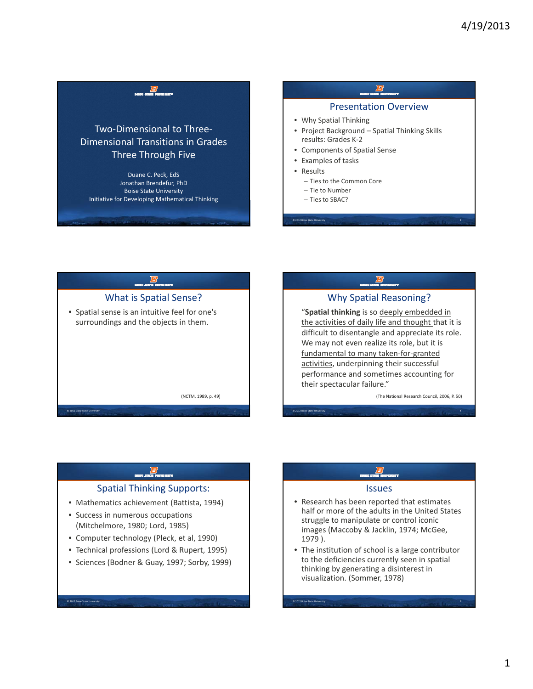





### Spatial Thinking Supports:

- Mathematics achievement (Battista, 1994)
- Success in numerous occupations (Mitchelmore, 1980; Lord, 1985)

© 2012 Boise State University 5

- Computer technology (Pleck, et al, 1990)
- Technical professions (Lord & Rupert, 1995)
- Sciences (Bodner & Guay, 1997; Sorby, 1999)

### Issues

- Research has been reported that estimates half or more of the adults in the United States struggle to manipulate or control iconic images (Maccoby & Jacklin, 1974; McGee, 1979 ).
- The institution of school is a large contributor to the deficiencies currently seen in spatial thinking by generating a disinterest in visualization. (Sommer, 1978)

© 2012 Boise State University 6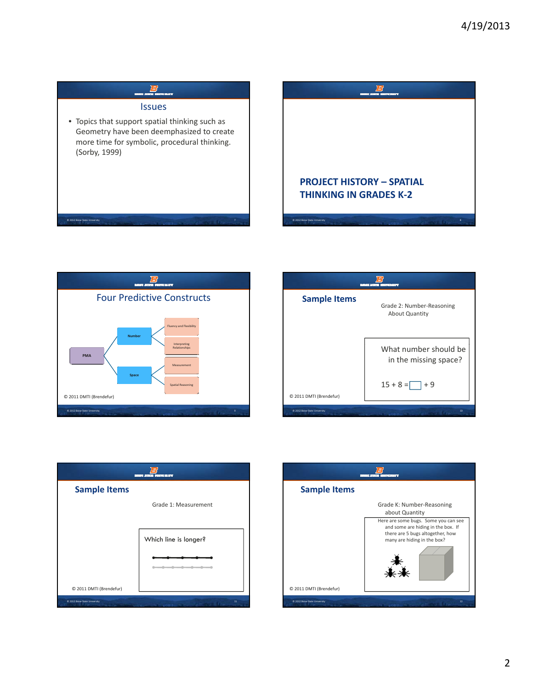







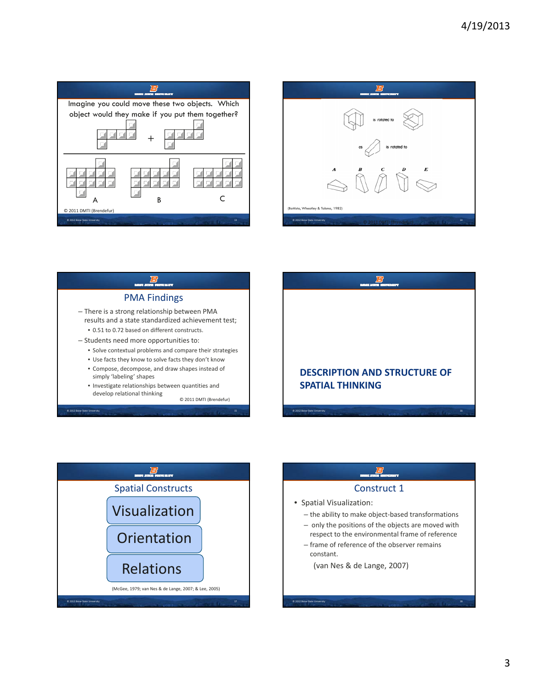









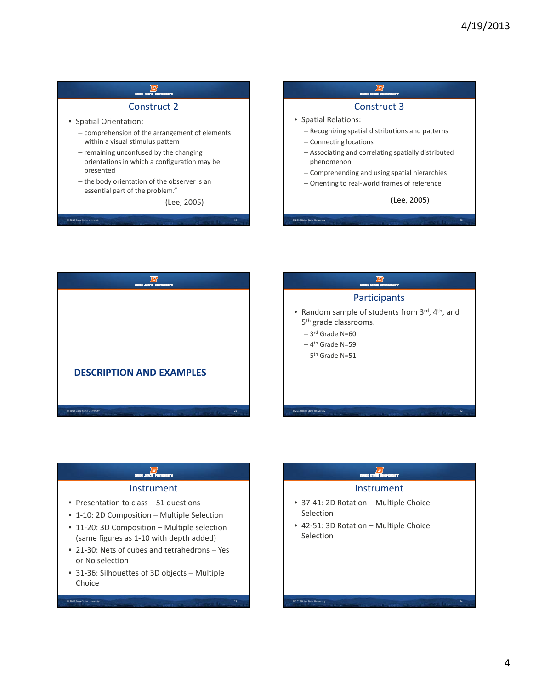### Construct 2 • Spatial Orientation: – comprehension of the arrangement of elements within a visual stimulus pattern – remaining unconfused by the changing © 2012 Boise State University 19 orientations in which a configuration may be presented – the body orientation of the observer is an essential part of the problem." (Lee, 2005) Construct 3 • Spatial Relations: – Recognizing spatial distributions and patterns – Connecting locations – Associating and correlating spatially distributed © 2012 Boise State phenomenon – Comprehending and using spatial hierarchies – Orienting to real‐world frames of reference (Lee, 2005)



### Instrument

- Presentation to class 51 questions
- 1-10: 2D Composition Multiple Selection
- 11-20: 3D Composition Multiple selection (same figures as 1-10 with depth added)
- 21‐30: Nets of cubes and tetrahedrons Yes or No selection
- 31‐36: Silhouettes of 3D objects Multiple Choice

© 2012 Boise State University 23

### Instrument

- 37‐41: 2D Rotation Multiple Choice Selection
- 42‐51: 3D Rotation Multiple Choice Selection

© 2012 Boise State University 24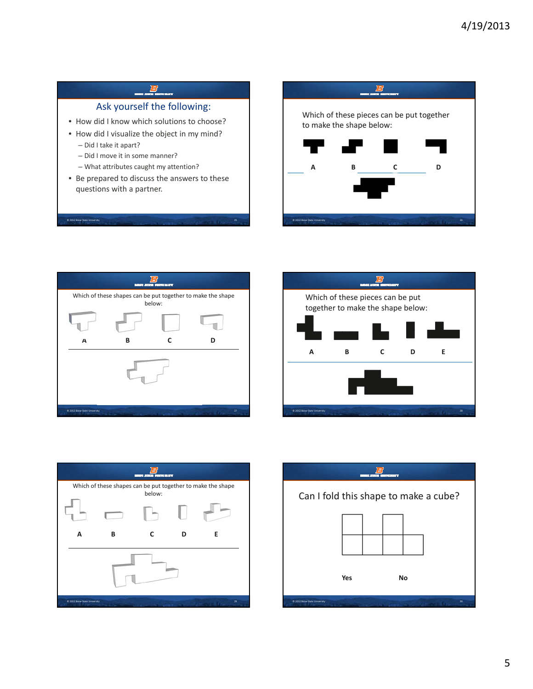### 鸟 Ask yourself the following: Which of these pieces can be put together • How did I know which solutions to choose? to make the shape below: • How did I visualize the object in my mind? – Did I take it apart? - Did I move it in some manner? – What attributes caught my attention? **A B C D** • Be prepared to discuss the answers to these questions with a partner. © 2012 Boise State University 25 © 2012 Boise State U







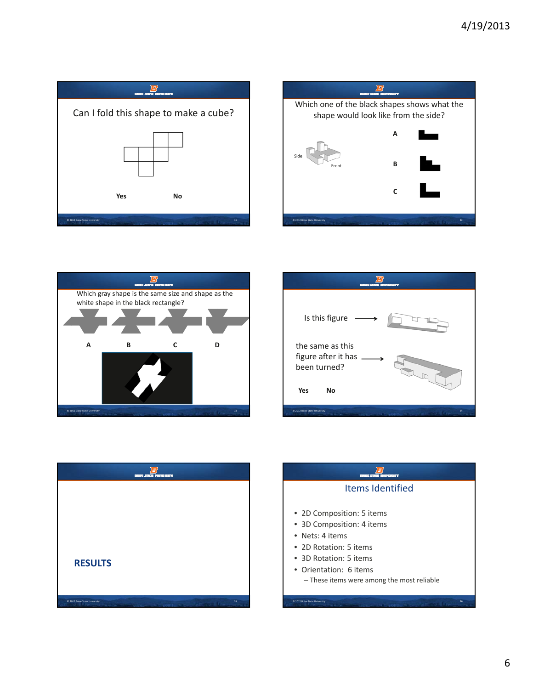









| Items Identified                           |
|--------------------------------------------|
| • 2D Composition: 5 items                  |
| • 3D Composition: 4 items                  |
| • Nets: 4 items                            |
| • 2D Rotation: 5 items                     |
| • 3D Rotation: 5 items                     |
| • Orientation: 6 items                     |
| - These items were among the most reliable |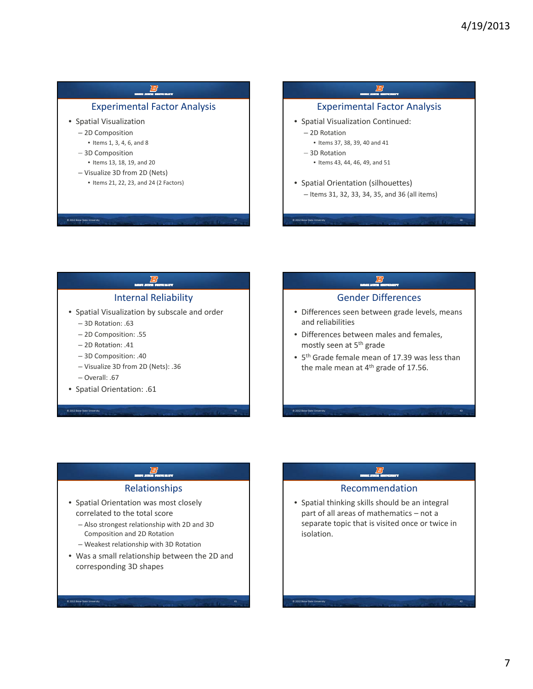### Experimental Factor Analysis • Spatial Visualization – 2D Composition • Items 1, 3, 4, 6, and 8 – 3D Composition © 2012 Boise State University 37 • Items 13, 18, 19, and 20 – Visualize 3D from 2D (Nets) • Items 21, 22, 23, and 24 (2 Factors) Experimental Factor Analysis • Spatial Visualization Continued: – 2D Rotation • Items 37, 38, 39, 40 and 41 – 3D Rotation © 2012 Boise State University 38 • Items 43, 44, 46, 49, and 51 • Spatial Orientation (silhouettes) – Items 31, 32, 33, 34, 35, and 36 (all items)

# Internal Reliability

- Spatial Visualization by subscale and order
	- 3D Rotation: .63
	- 2D Composition: .55
	- 2D Rotation: .41
	- 3D Composition: .40
	- Visualize 3D from 2D (Nets): .36
	- Overall: .67

 $\overline{\textcircled{\small{2012}}}$  Boise State U

e<br>© 2012 Boise State Uni

• Spatial Orientation: .61

### Gender Differences

- Differences seen between grade levels, means and reliabilities
- Differences between males and females, mostly seen at 5<sup>th</sup> grade

© 2012 Boise State U

© 2012 Boise State University 42

• 5th Grade female mean of 17.39 was less than the male mean at 4<sup>th</sup> grade of 17.56.

## Relationships

- Spatial Orientation was most closely correlated to the total score
	- Also strongest relationship with 2D and 3D Composition and 2D Rotation
	- Weakest relationship with 3D Rotation
- Was a small relationship between the 2D and corresponding 3D shapes

### Recommendation

• Spatial thinking skills should be an integral part of all areas of mathematics – not a separate topic that is visited once or twice in isolation isolation.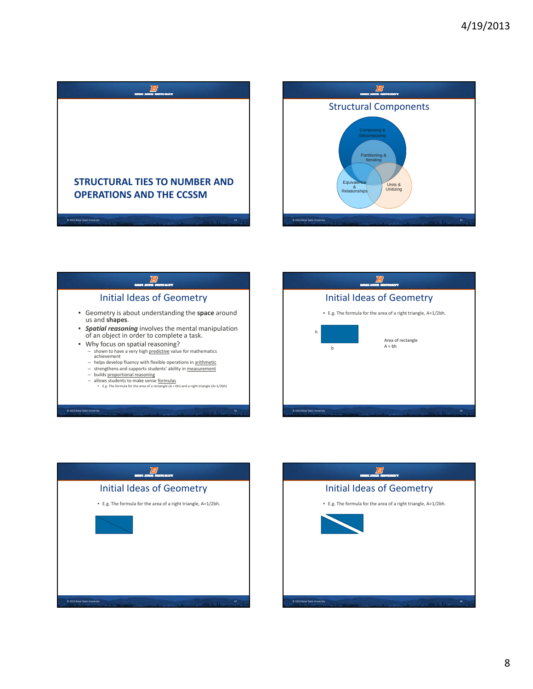









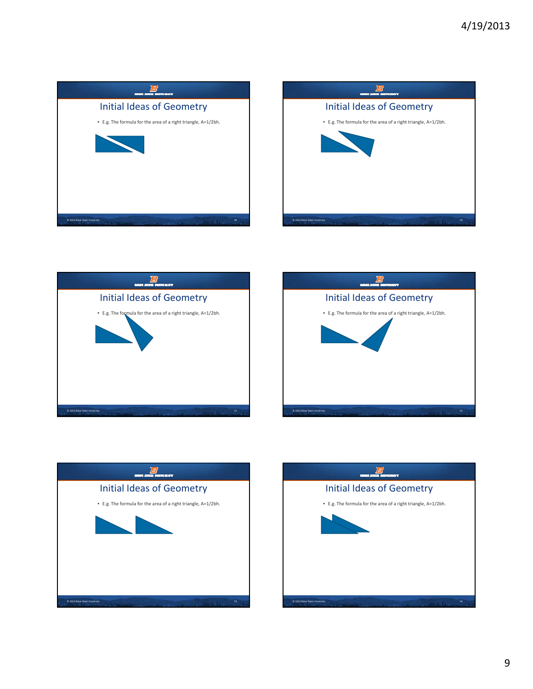









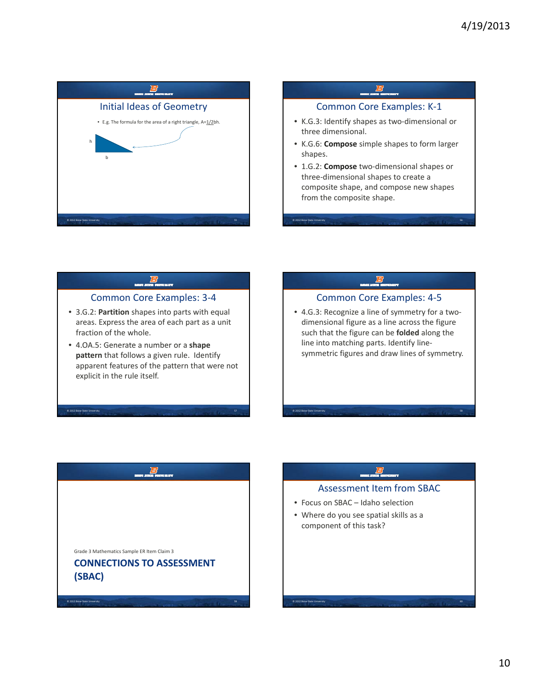



### Common Core Examples: 3‐4

- 3.G.2: **Partition** shapes into parts with equal areas. Express the area of each part as a unit fraction of the whole.
- 4 OA 5: Generate a number or a **shape** 4.OA.5:**pattern** that follows a given rule. Identify apparent features of the pattern that were not explicit in the rule itself.

© 2012 Boise State Un

### Common Core Examples: 4‐5

• 4.G.3: Recognize a line of symmetry for a two‐ dimensional figure as a line across the figure such that the figure can be **folded** along the line into matching parts. Identify linesymmetric figures and draw lines of symmetry.



## Assessment Item from SBAC

• Focus on SBAC – Idaho selection

© 2012 Boise State Un

© 2012 Boise State University 60

• Where do you see spatial skills as a component of this task?